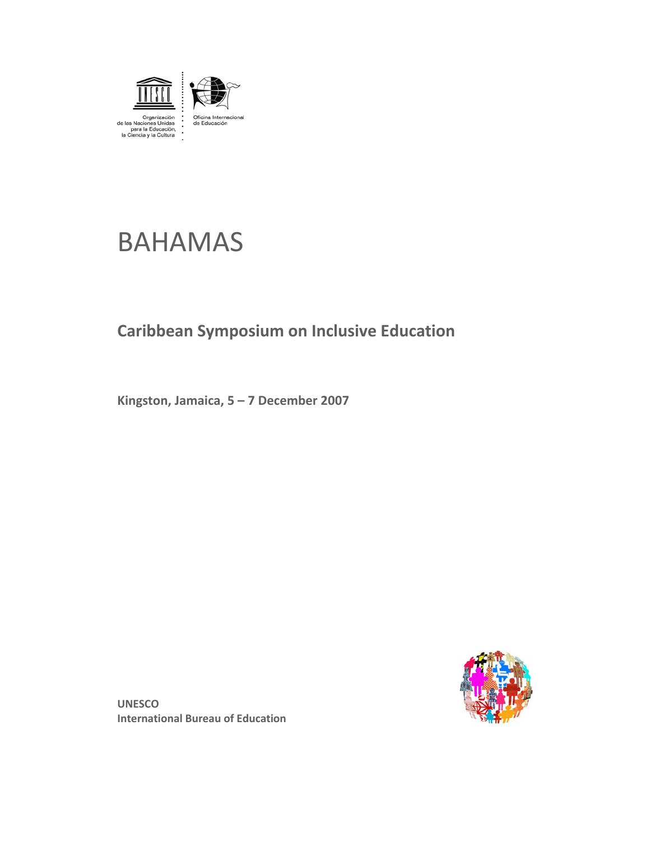

# BAHAMAS

# **Caribbean Symposium on Inclusive Education**

**Kingston, Jamaica, 5 – 7 December 2007** 



**UNESCO International Bureau of Education**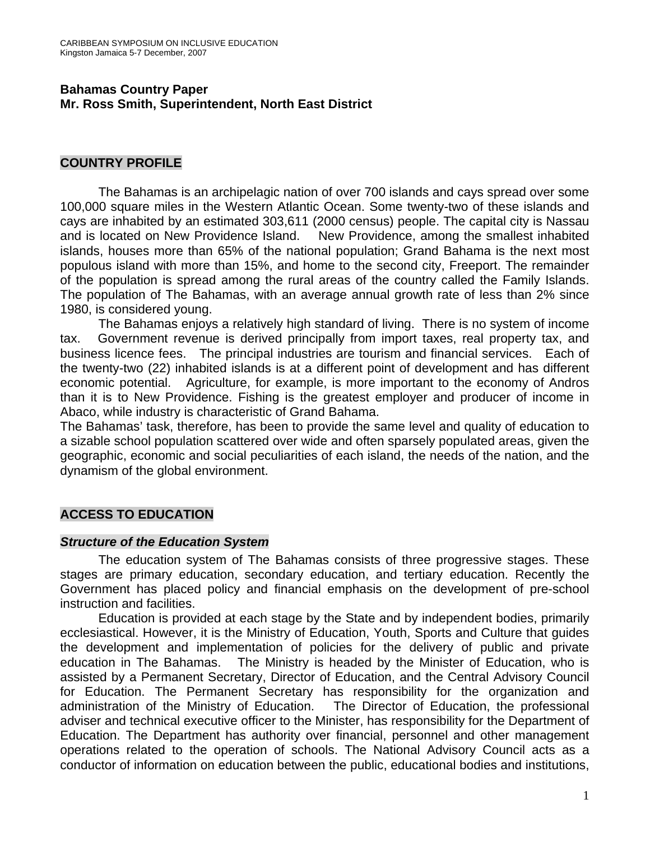# **Bahamas Country Paper Mr. Ross Smith, Superintendent, North East District**

# **COUNTRY PROFILE**

The Bahamas is an archipelagic nation of over 700 islands and cays spread over some 100,000 square miles in the Western Atlantic Ocean. Some twenty-two of these islands and cays are inhabited by an estimated 303,611 (2000 census) people. The capital city is Nassau and is located on New Providence Island. New Providence, among the smallest inhabited islands, houses more than 65% of the national population; Grand Bahama is the next most populous island with more than 15%, and home to the second city, Freeport. The remainder of the population is spread among the rural areas of the country called the Family Islands. The population of The Bahamas, with an average annual growth rate of less than 2% since 1980, is considered young.

The Bahamas enjoys a relatively high standard of living. There is no system of income tax. Government revenue is derived principally from import taxes, real property tax, and business licence fees. The principal industries are tourism and financial services. Each of the twenty-two (22) inhabited islands is at a different point of development and has different economic potential. Agriculture, for example, is more important to the economy of Andros than it is to New Providence. Fishing is the greatest employer and producer of income in Abaco, while industry is characteristic of Grand Bahama.

The Bahamas' task, therefore, has been to provide the same level and quality of education to a sizable school population scattered over wide and often sparsely populated areas, given the geographic, economic and social peculiarities of each island, the needs of the nation, and the dynamism of the global environment.

# **ACCESS TO EDUCATION**

#### *Structure of the Education System*

The education system of The Bahamas consists of three progressive stages. These stages are primary education, secondary education, and tertiary education. Recently the Government has placed policy and financial emphasis on the development of pre-school instruction and facilities.

Education is provided at each stage by the State and by independent bodies, primarily ecclesiastical. However, it is the Ministry of Education, Youth, Sports and Culture that guides the development and implementation of policies for the delivery of public and private education in The Bahamas. The Ministry is headed by the Minister of Education, who is assisted by a Permanent Secretary, Director of Education, and the Central Advisory Council for Education. The Permanent Secretary has responsibility for the organization and administration of the Ministry of Education. The Director of Education, the professional adviser and technical executive officer to the Minister, has responsibility for the Department of Education. The Department has authority over financial, personnel and other management operations related to the operation of schools. The National Advisory Council acts as a conductor of information on education between the public, educational bodies and institutions,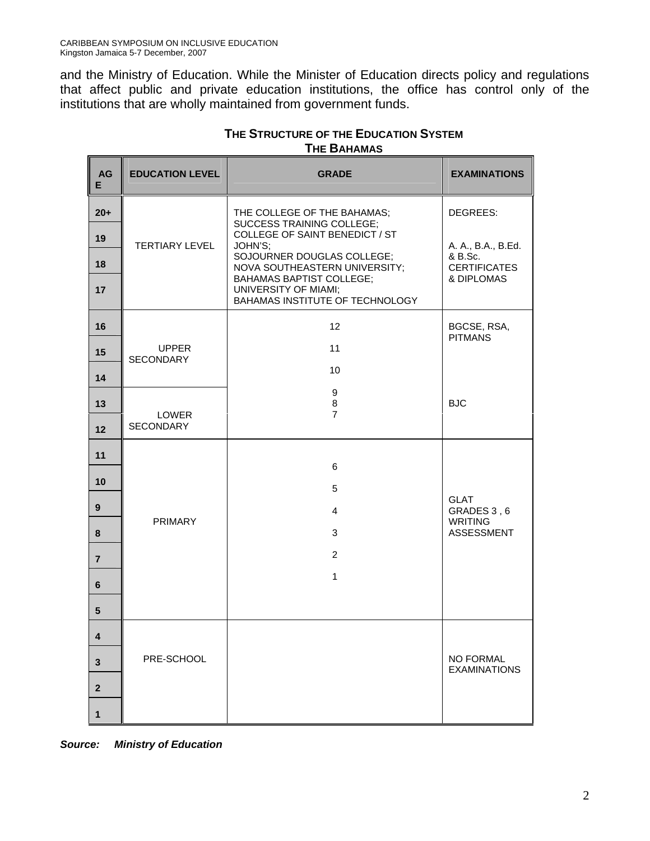and the Ministry of Education. While the Minister of Education directs policy and regulations that affect public and private education institutions, the office has control only of the institutions that are wholly maintained from government funds.

| AG<br>E.        | <b>EDUCATION LEVEL</b>           | <b>GRADE</b>                                                                                      | <b>EXAMINATIONS</b>            |
|-----------------|----------------------------------|---------------------------------------------------------------------------------------------------|--------------------------------|
| $20+$           |                                  | THE COLLEGE OF THE BAHAMAS;<br><b>SUCCESS TRAINING COLLEGE;</b>                                   | DEGREES:                       |
| 19              | <b>TERTIARY LEVEL</b>            | COLLEGE OF SAINT BENEDICT / ST<br>JOHN'S;                                                         | A. A., B.A., B.Ed.             |
| 18              |                                  | SOJOURNER DOUGLAS COLLEGE;<br>NOVA SOUTHEASTERN UNIVERSITY;                                       | & B.Sc.<br><b>CERTIFICATES</b> |
| 17              |                                  | <b>BAHAMAS BAPTIST COLLEGE;</b><br><b>UNIVERSITY OF MIAMI;</b><br>BAHAMAS INSTITUTE OF TECHNOLOGY | & DIPLOMAS                     |
| 16              |                                  | 12                                                                                                | BGCSE, RSA,<br><b>PITMANS</b>  |
| 15              | <b>UPPER</b><br>SECONDARY        | 11                                                                                                |                                |
| 14              |                                  | 10                                                                                                |                                |
| 13              |                                  | 9<br>8                                                                                            | <b>BJC</b>                     |
| 12              | <b>LOWER</b><br><b>SECONDARY</b> | $\overline{7}$                                                                                    |                                |
| 11              |                                  |                                                                                                   |                                |
| 10              |                                  | 6<br>5                                                                                            |                                |
| 9               | <b>PRIMARY</b>                   | 4                                                                                                 | <b>GLAT</b><br>GRADES 3, 6     |
| 8               |                                  | 3                                                                                                 | <b>WRITING</b><br>ASSESSMENT   |
| $\overline{7}$  |                                  | $\overline{2}$                                                                                    |                                |
| 6               |                                  | $\mathbf{1}$                                                                                      |                                |
| $5\phantom{.0}$ |                                  |                                                                                                   |                                |
| 4               |                                  |                                                                                                   |                                |
| 3               | PRE-SCHOOL                       |                                                                                                   | <b>NO FORMAL</b>               |
| $\mathbf{2}$    |                                  |                                                                                                   | <b>EXAMINATIONS</b>            |
| $\mathbf{1}$    |                                  |                                                                                                   |                                |

## **THE STRUCTURE OF THE EDUCATION SYSTEM THE BAHAMAS**

*Source: Ministry of Education*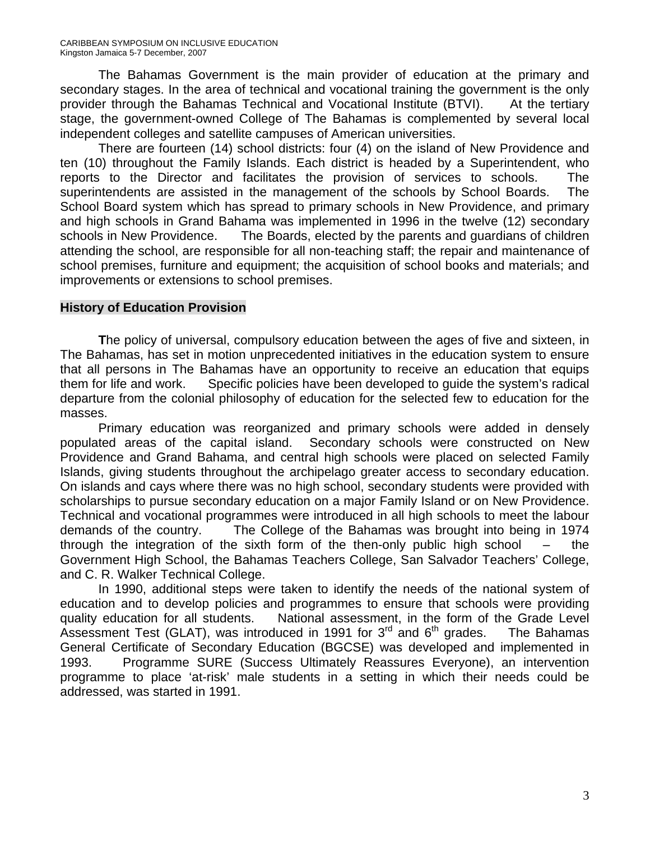The Bahamas Government is the main provider of education at the primary and secondary stages. In the area of technical and vocational training the government is the only provider through the Bahamas Technical and Vocational Institute (BTVI). At the tertiary stage, the government-owned College of The Bahamas is complemented by several local independent colleges and satellite campuses of American universities.

There are fourteen (14) school districts: four (4) on the island of New Providence and ten (10) throughout the Family Islands. Each district is headed by a Superintendent, who reports to the Director and facilitates the provision of services to schools. The superintendents are assisted in the management of the schools by School Boards. The School Board system which has spread to primary schools in New Providence, and primary and high schools in Grand Bahama was implemented in 1996 in the twelve (12) secondary schools in New Providence. The Boards, elected by the parents and guardians of children attending the school, are responsible for all non-teaching staff; the repair and maintenance of school premises, furniture and equipment; the acquisition of school books and materials; and improvements or extensions to school premises.

#### **History of Education Provision**

**T**he policy of universal, compulsory education between the ages of five and sixteen, in The Bahamas, has set in motion unprecedented initiatives in the education system to ensure that all persons in The Bahamas have an opportunity to receive an education that equips them for life and work. Specific policies have been developed to guide the system's radical departure from the colonial philosophy of education for the selected few to education for the masses.

Primary education was reorganized and primary schools were added in densely populated areas of the capital island. Secondary schools were constructed on New Providence and Grand Bahama, and central high schools were placed on selected Family Islands, giving students throughout the archipelago greater access to secondary education. On islands and cays where there was no high school, secondary students were provided with scholarships to pursue secondary education on a major Family Island or on New Providence. Technical and vocational programmes were introduced in all high schools to meet the labour demands of the country. The College of the Bahamas was brought into being in 1974 through the integration of the sixth form of the then-only public high school  $-$  the Government High School, the Bahamas Teachers College, San Salvador Teachers' College, and C. R. Walker Technical College.

In 1990, additional steps were taken to identify the needs of the national system of education and to develop policies and programmes to ensure that schools were providing quality education for all students. National assessment, in the form of the Grade Level Assessment Test (GLAT), was introduced in 1991 for  $3<sup>rd</sup>$  and  $6<sup>th</sup>$  grades. The Bahamas General Certificate of Secondary Education (BGCSE) was developed and implemented in 1993. Programme SURE (Success Ultimately Reassures Everyone), an intervention programme to place 'at-risk' male students in a setting in which their needs could be addressed, was started in 1991.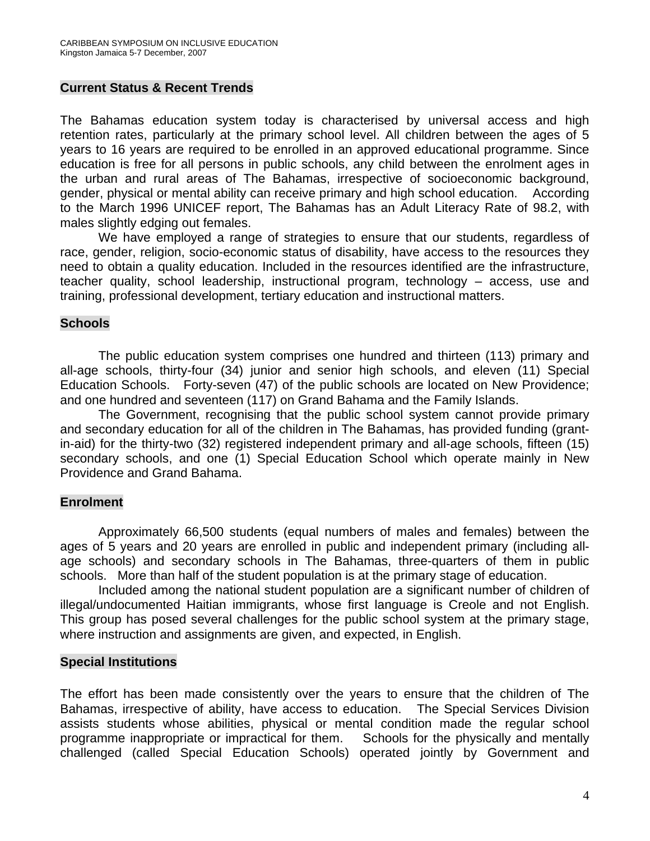#### **Current Status & Recent Trends**

The Bahamas education system today is characterised by universal access and high retention rates, particularly at the primary school level. All children between the ages of 5 years to 16 years are required to be enrolled in an approved educational programme. Since education is free for all persons in public schools, any child between the enrolment ages in the urban and rural areas of The Bahamas, irrespective of socioeconomic background, gender, physical or mental ability can receive primary and high school education. According to the March 1996 UNICEF report, The Bahamas has an Adult Literacy Rate of 98.2, with males slightly edging out females.

 We have employed a range of strategies to ensure that our students, regardless of race, gender, religion, socio-economic status of disability, have access to the resources they need to obtain a quality education. Included in the resources identified are the infrastructure, teacher quality, school leadership, instructional program, technology – access, use and training, professional development, tertiary education and instructional matters.

#### **Schools**

The public education system comprises one hundred and thirteen (113) primary and all-age schools, thirty-four (34) junior and senior high schools, and eleven (11) Special Education Schools. Forty-seven (47) of the public schools are located on New Providence; and one hundred and seventeen (117) on Grand Bahama and the Family Islands.

The Government, recognising that the public school system cannot provide primary and secondary education for all of the children in The Bahamas, has provided funding (grantin-aid) for the thirty-two (32) registered independent primary and all-age schools, fifteen (15) secondary schools, and one (1) Special Education School which operate mainly in New Providence and Grand Bahama.

#### **Enrolment**

 Approximately 66,500 students (equal numbers of males and females) between the ages of 5 years and 20 years are enrolled in public and independent primary (including allage schools) and secondary schools in The Bahamas, three-quarters of them in public schools. More than half of the student population is at the primary stage of education.

Included among the national student population are a significant number of children of illegal/undocumented Haitian immigrants, whose first language is Creole and not English. This group has posed several challenges for the public school system at the primary stage, where instruction and assignments are given, and expected, in English.

#### **Special Institutions**

The effort has been made consistently over the years to ensure that the children of The Bahamas, irrespective of ability, have access to education. The Special Services Division assists students whose abilities, physical or mental condition made the regular school programme inappropriate or impractical for them. Schools for the physically and mentally challenged (called Special Education Schools) operated jointly by Government and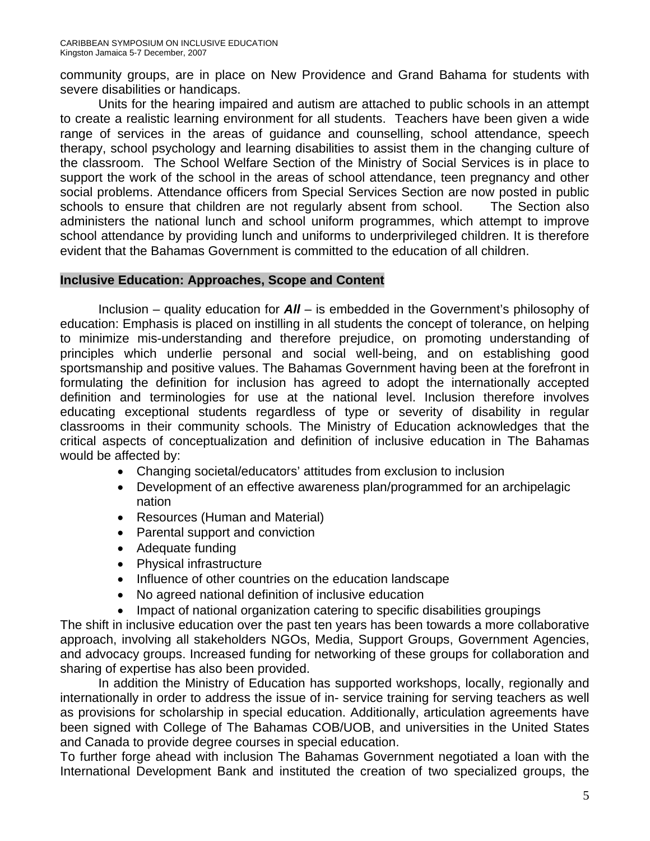community groups, are in place on New Providence and Grand Bahama for students with severe disabilities or handicaps.

Units for the hearing impaired and autism are attached to public schools in an attempt to create a realistic learning environment for all students. Teachers have been given a wide range of services in the areas of guidance and counselling, school attendance, speech therapy, school psychology and learning disabilities to assist them in the changing culture of the classroom. The School Welfare Section of the Ministry of Social Services is in place to support the work of the school in the areas of school attendance, teen pregnancy and other social problems. Attendance officers from Special Services Section are now posted in public schools to ensure that children are not regularly absent from school. The Section also administers the national lunch and school uniform programmes, which attempt to improve school attendance by providing lunch and uniforms to underprivileged children. It is therefore evident that the Bahamas Government is committed to the education of all children.

#### **Inclusive Education: Approaches, Scope and Content**

 Inclusion – quality education for *All* – is embedded in the Government's philosophy of education: Emphasis is placed on instilling in all students the concept of tolerance, on helping to minimize mis-understanding and therefore prejudice, on promoting understanding of principles which underlie personal and social well-being, and on establishing good sportsmanship and positive values. The Bahamas Government having been at the forefront in formulating the definition for inclusion has agreed to adopt the internationally accepted definition and terminologies for use at the national level. Inclusion therefore involves educating exceptional students regardless of type or severity of disability in regular classrooms in their community schools. The Ministry of Education acknowledges that the critical aspects of conceptualization and definition of inclusive education in The Bahamas would be affected by:

- Changing societal/educators' attitudes from exclusion to inclusion
- Development of an effective awareness plan/programmed for an archipelagic nation
- Resources (Human and Material)
- Parental support and conviction
- Adequate funding
- Physical infrastructure
- Influence of other countries on the education landscape
- No agreed national definition of inclusive education
- Impact of national organization catering to specific disabilities groupings

The shift in inclusive education over the past ten years has been towards a more collaborative approach, involving all stakeholders NGOs, Media, Support Groups, Government Agencies, and advocacy groups. Increased funding for networking of these groups for collaboration and sharing of expertise has also been provided.

In addition the Ministry of Education has supported workshops, locally, regionally and internationally in order to address the issue of in- service training for serving teachers as well as provisions for scholarship in special education. Additionally, articulation agreements have been signed with College of The Bahamas COB/UOB, and universities in the United States and Canada to provide degree courses in special education.

To further forge ahead with inclusion The Bahamas Government negotiated a loan with the International Development Bank and instituted the creation of two specialized groups, the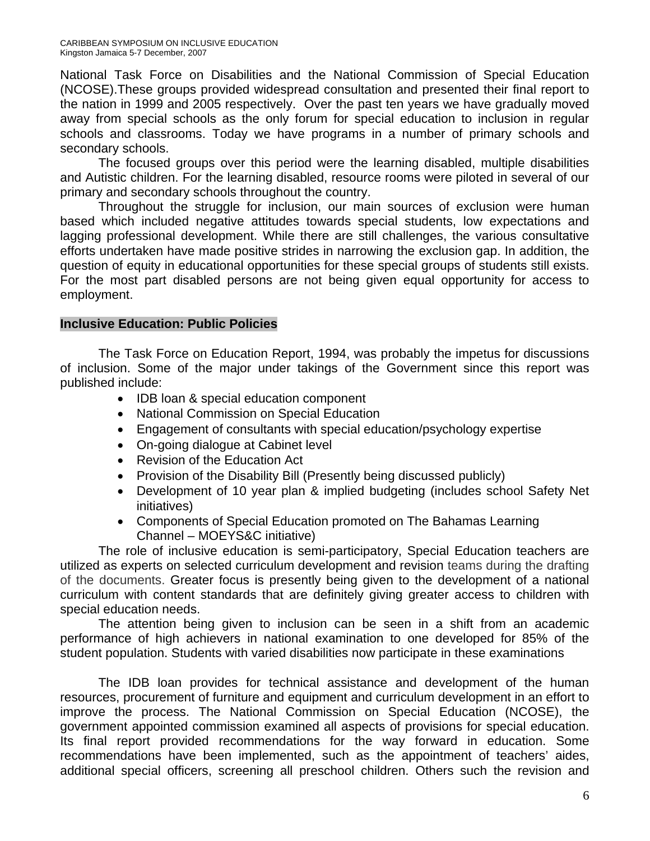National Task Force on Disabilities and the National Commission of Special Education (NCOSE).These groups provided widespread consultation and presented their final report to the nation in 1999 and 2005 respectively. Over the past ten years we have gradually moved away from special schools as the only forum for special education to inclusion in regular schools and classrooms. Today we have programs in a number of primary schools and secondary schools.

 The focused groups over this period were the learning disabled, multiple disabilities and Autistic children. For the learning disabled, resource rooms were piloted in several of our primary and secondary schools throughout the country.

 Throughout the struggle for inclusion, our main sources of exclusion were human based which included negative attitudes towards special students, low expectations and lagging professional development. While there are still challenges, the various consultative efforts undertaken have made positive strides in narrowing the exclusion gap. In addition, the question of equity in educational opportunities for these special groups of students still exists. For the most part disabled persons are not being given equal opportunity for access to employment.

#### **Inclusive Education: Public Policies**

The Task Force on Education Report, 1994, was probably the impetus for discussions of inclusion. Some of the major under takings of the Government since this report was published include:

- IDB loan & special education component
- National Commission on Special Education
- Engagement of consultants with special education/psychology expertise
- On-going dialogue at Cabinet level
- Revision of the Education Act
- Provision of the Disability Bill (Presently being discussed publicly)
- Development of 10 year plan & implied budgeting (includes school Safety Net initiatives)
- Components of Special Education promoted on The Bahamas Learning Channel – MOEYS&C initiative)

The role of inclusive education is semi-participatory, Special Education teachers are utilized as experts on selected curriculum development and revision teams during the drafting of the documents. Greater focus is presently being given to the development of a national curriculum with content standards that are definitely giving greater access to children with special education needs.

The attention being given to inclusion can be seen in a shift from an academic performance of high achievers in national examination to one developed for 85% of the student population. Students with varied disabilities now participate in these examinations

The IDB loan provides for technical assistance and development of the human resources, procurement of furniture and equipment and curriculum development in an effort to improve the process. The National Commission on Special Education (NCOSE), the government appointed commission examined all aspects of provisions for special education. Its final report provided recommendations for the way forward in education. Some recommendations have been implemented, such as the appointment of teachers' aides, additional special officers, screening all preschool children. Others such the revision and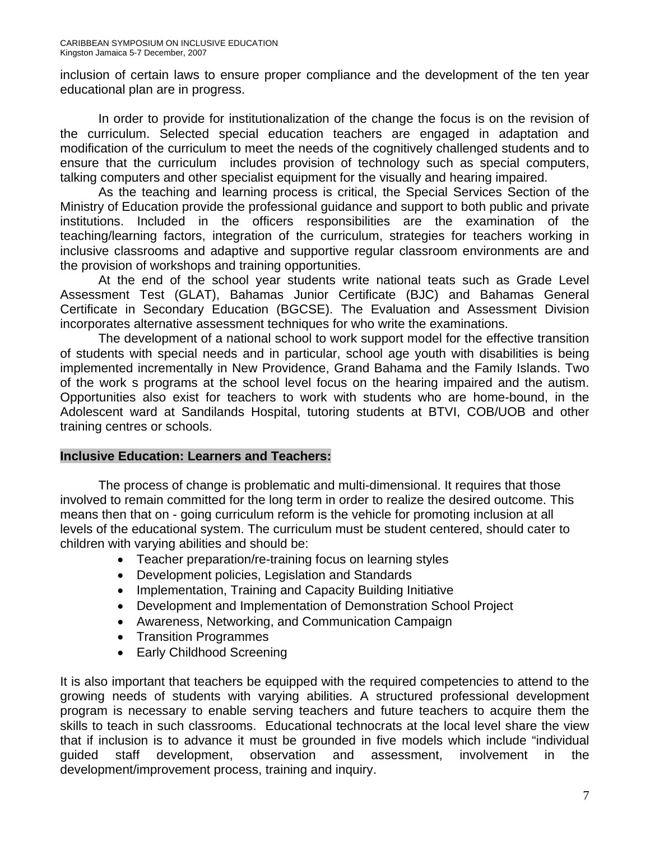inclusion of certain laws to ensure proper compliance and the development of the ten year educational plan are in progress.

 In order to provide for institutionalization of the change the focus is on the revision of the curriculum. Selected special education teachers are engaged in adaptation and modification of the curriculum to meet the needs of the cognitively challenged students and to ensure that the curriculum includes provision of technology such as special computers, talking computers and other specialist equipment for the visually and hearing impaired.

 As the teaching and learning process is critical, the Special Services Section of the Ministry of Education provide the professional guidance and support to both public and private institutions. Included in the officers responsibilities are the examination of the teaching/learning factors, integration of the curriculum, strategies for teachers working in inclusive classrooms and adaptive and supportive regular classroom environments are and the provision of workshops and training opportunities.

At the end of the school year students write national teats such as Grade Level Assessment Test (GLAT), Bahamas Junior Certificate (BJC) and Bahamas General Certificate in Secondary Education (BGCSE). The Evaluation and Assessment Division incorporates alternative assessment techniques for who write the examinations.

The development of a national school to work support model for the effective transition of students with special needs and in particular, school age youth with disabilities is being implemented incrementally in New Providence, Grand Bahama and the Family Islands. Two of the work s programs at the school level focus on the hearing impaired and the autism. Opportunities also exist for teachers to work with students who are home-bound, in the Adolescent ward at Sandilands Hospital, tutoring students at BTVI, COB/UOB and other training centres or schools.

#### **Inclusive Education: Learners and Teachers:**

 The process of change is problematic and multi-dimensional. It requires that those involved to remain committed for the long term in order to realize the desired outcome. This means then that on - going curriculum reform is the vehicle for promoting inclusion at all levels of the educational system. The curriculum must be student centered, should cater to children with varying abilities and should be:

- Teacher preparation/re-training focus on learning styles
- Development policies, Legislation and Standards
- Implementation, Training and Capacity Building Initiative
- Development and Implementation of Demonstration School Project
- Awareness, Networking, and Communication Campaign
- Transition Programmes
- Early Childhood Screening

It is also important that teachers be equipped with the required competencies to attend to the growing needs of students with varying abilities. A structured professional development program is necessary to enable serving teachers and future teachers to acquire them the skills to teach in such classrooms. Educational technocrats at the local level share the view that if inclusion is to advance it must be grounded in five models which include "individual guided staff development, observation and assessment, involvement in the development/improvement process, training and inquiry.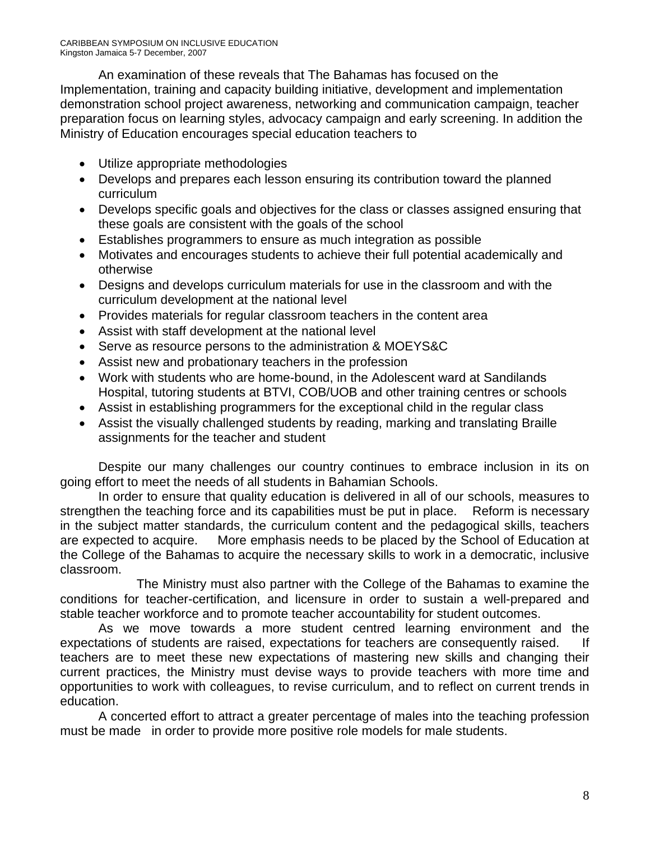An examination of these reveals that The Bahamas has focused on the Implementation, training and capacity building initiative, development and implementation demonstration school project awareness, networking and communication campaign, teacher preparation focus on learning styles, advocacy campaign and early screening. In addition the Ministry of Education encourages special education teachers to

- Utilize appropriate methodologies
- Develops and prepares each lesson ensuring its contribution toward the planned curriculum
- Develops specific goals and objectives for the class or classes assigned ensuring that these goals are consistent with the goals of the school
- Establishes programmers to ensure as much integration as possible
- Motivates and encourages students to achieve their full potential academically and otherwise
- Designs and develops curriculum materials for use in the classroom and with the curriculum development at the national level
- Provides materials for regular classroom teachers in the content area
- Assist with staff development at the national level
- Serve as resource persons to the administration & MOEYS&C
- Assist new and probationary teachers in the profession
- Work with students who are home-bound, in the Adolescent ward at Sandilands Hospital, tutoring students at BTVI, COB/UOB and other training centres or schools
- Assist in establishing programmers for the exceptional child in the regular class
- Assist the visually challenged students by reading, marking and translating Braille assignments for the teacher and student

Despite our many challenges our country continues to embrace inclusion in its on going effort to meet the needs of all students in Bahamian Schools.

 In order to ensure that quality education is delivered in all of our schools, measures to strengthen the teaching force and its capabilities must be put in place. Reform is necessary in the subject matter standards, the curriculum content and the pedagogical skills, teachers are expected to acquire. More emphasis needs to be placed by the School of Education at the College of the Bahamas to acquire the necessary skills to work in a democratic, inclusive classroom.

 The Ministry must also partner with the College of the Bahamas to examine the conditions for teacher-certification, and licensure in order to sustain a well-prepared and stable teacher workforce and to promote teacher accountability for student outcomes.

As we move towards a more student centred learning environment and the expectations of students are raised, expectations for teachers are consequently raised. If teachers are to meet these new expectations of mastering new skills and changing their current practices, the Ministry must devise ways to provide teachers with more time and opportunities to work with colleagues, to revise curriculum, and to reflect on current trends in education.

A concerted effort to attract a greater percentage of males into the teaching profession must be made in order to provide more positive role models for male students.